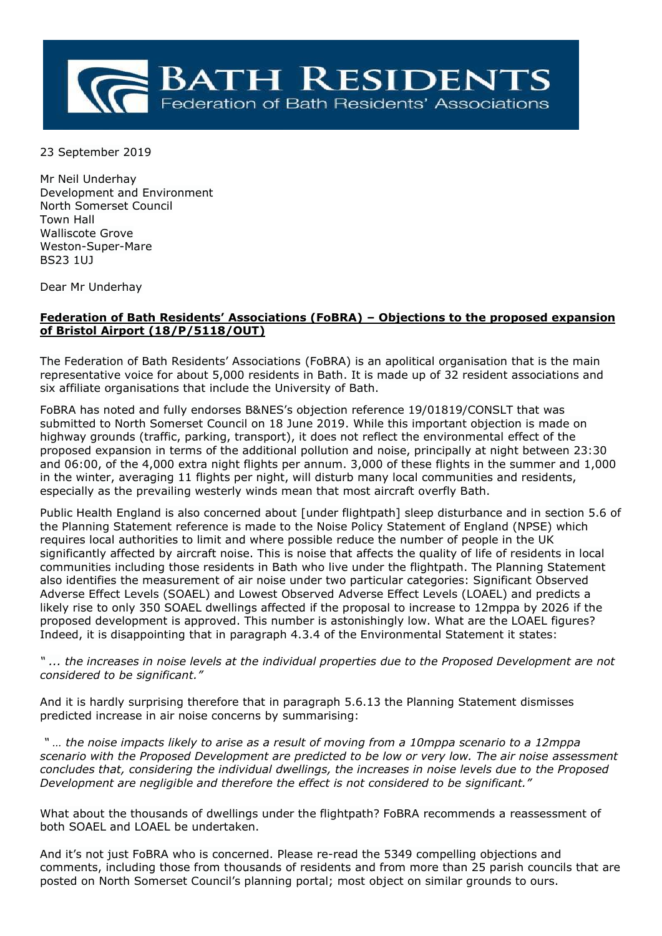

23 September 2019

Mr Neil Underhay Development and Environment North Somerset Council Town Hall Walliscote Grove Weston-Super-Mare BS23 1UJ

Dear Mr Underhay

## **Federation of Bath Residents' Associations (FoBRA) – Objections to the proposed expansion of Bristol Airport (18/P/5118/OUT)**

The Federation of Bath Residents' Associations (FoBRA) is an apolitical organisation that is the main representative voice for about 5,000 residents in Bath. It is made up of 32 resident associations and six affiliate organisations that include the University of Bath.

FoBRA has noted and fully endorses B&NES's objection reference 19/01819/CONSLT that was submitted to North Somerset Council on 18 June 2019. While this important objection is made on highway grounds (traffic, parking, transport), it does not reflect the environmental effect of the proposed expansion in terms of the additional pollution and noise, principally at night between 23:30 and 06:00, of the 4,000 extra night flights per annum. 3,000 of these flights in the summer and 1,000 in the winter, averaging 11 flights per night, will disturb many local communities and residents, especially as the prevailing westerly winds mean that most aircraft overfly Bath.

Public Health England is also concerned about [under flightpath] sleep disturbance and in section 5.6 of the Planning Statement reference is made to the Noise Policy Statement of England (NPSE) which requires local authorities to limit and where possible reduce the number of people in the UK significantly affected by aircraft noise. This is noise that affects the quality of life of residents in local communities including those residents in Bath who live under the flightpath. The Planning Statement also identifies the measurement of air noise under two particular categories: Significant Observed Adverse Effect Levels (SOAEL) and Lowest Observed Adverse Effect Levels (LOAEL) and predicts a likely rise to only 350 SOAEL dwellings affected if the proposal to increase to 12mppa by 2026 if the proposed development is approved. This number is astonishingly low. What are the LOAEL figures? Indeed, it is disappointing that in paragraph 4.3.4 of the Environmental Statement it states:

*" ... the increases in noise levels at the individual properties due to the Proposed Development are not considered to be significant."* 

And it is hardly surprising therefore that in paragraph 5.6.13 the Planning Statement dismisses predicted increase in air noise concerns by summarising:

*" … the noise impacts likely to arise as a result of moving from a 10mppa scenario to a 12mppa scenario with the Proposed Development are predicted to be low or very low. The air noise assessment concludes that, considering the individual dwellings, the increases in noise levels due to the Proposed Development are negligible and therefore the effect is not considered to be significant."*

What about the thousands of dwellings under the flightpath? FoBRA recommends a reassessment of both SOAEL and LOAEL be undertaken.

And it's not just FoBRA who is concerned. Please re-read the 5349 compelling objections and comments, including those from thousands of residents and from more than 25 parish councils that are posted on North Somerset Council's planning portal; most object on similar grounds to ours.